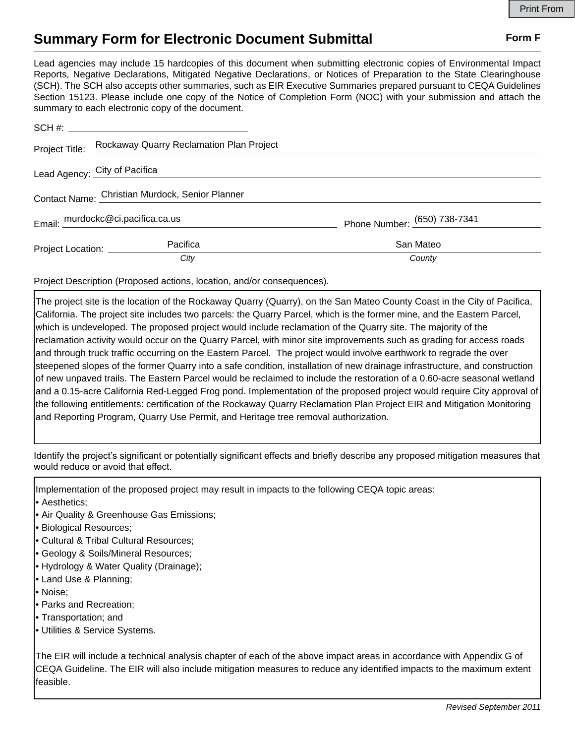## **Summary Form for Electronic Document Submittal Form F Form F**

Lead agencies may include 15 hardcopies of this document when submitting electronic copies of Environmental Impact Reports, Negative Declarations, Mitigated Negative Declarations, or Notices of Preparation to the State Clearinghouse (SCH). The SCH also accepts other summaries, such as EIR Executive Summaries prepared pursuant to CEQA Guidelines Section 15123. Please include one copy of the Notice of Completion Form (NOC) with your submission and attach the summary to each electronic copy of the document.

|                                                 | Project Title: Rockaway Quarry Reclamation Plan Project |                              |
|-------------------------------------------------|---------------------------------------------------------|------------------------------|
|                                                 | Lead Agency: City of Pacifica                           |                              |
| Contact Name: Christian Murdock, Senior Planner |                                                         |                              |
| Email: murdockc@ci.pacifica.ca.us               |                                                         | Phone Number: (650) 738-7341 |
| Project Location: ____________                  | Pacifica                                                | San Mateo                    |
|                                                 | City                                                    | County                       |

Project Description (Proposed actions, location, and/or consequences).

The project site is the location of the Rockaway Quarry (Quarry), on the San Mateo County Coast in the City of Pacifica, California. The project site includes two parcels: the Quarry Parcel, which is the former mine, and the Eastern Parcel, which is undeveloped. The proposed project would include reclamation of the Quarry site. The majority of the reclamation activity would occur on the Quarry Parcel, with minor site improvements such as grading for access roads and through truck traffic occurring on the Eastern Parcel. The project would involve earthwork to regrade the over steepened slopes of the former Quarry into a safe condition, installation of new drainage infrastructure, and construction of new unpaved trails. The Eastern Parcel would be reclaimed to include the restoration of a 0.60-acre seasonal wetland and a 0.15-acre California Red-Legged Frog pond. Implementation of the proposed project would require City approval of the following entitlements: certification of the Rockaway Quarry Reclamation Plan Project EIR and Mitigation Monitoring and Reporting Program, Quarry Use Permit, and Heritage tree removal authorization.

Identify the project's significant or potentially significant effects and briefly describe any proposed mitigation measures that would reduce or avoid that effect.

Implementation of the proposed project may result in impacts to the following CEQA topic areas:

- Aesthetics;
- Air Quality & Greenhouse Gas Emissions;
- Biological Resources;
- Cultural & Tribal Cultural Resources;
- Geology & Soils/Mineral Resources;
- Hydrology & Water Quality (Drainage);
- Land Use & Planning;
- Noise;
- Parks and Recreation;
- Transportation; and
- Utilities & Service Systems.

The EIR will include a technical analysis chapter of each of the above impact areas in accordance with Appendix G of CEQA Guideline. The EIR will also include mitigation measures to reduce any identified impacts to the maximum extent feasible.